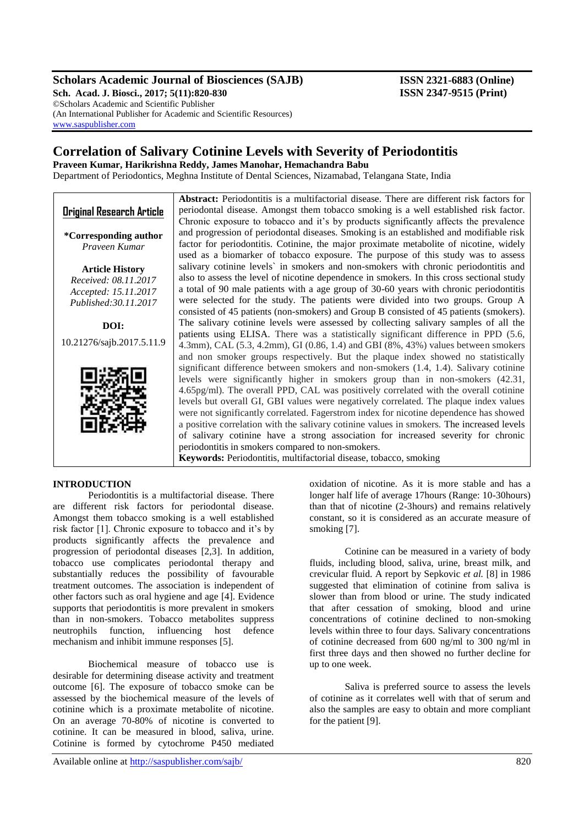# **Scholars Academic Journal of Biosciences (SAJB) ISSN 2321-6883 (Online)**

**Sch. Acad. J. Biosci., 2017; 5(11):820-830 ISSN 2347-9515 (Print)** ©Scholars Academic and Scientific Publisher (An International Publisher for Academic and Scientific Resources) [www.saspublisher.com](http://www.saspublisher.com/)

# **Correlation of Salivary Cotinine Levels with Severity of Periodontitis**

**Praveen Kumar, Harikrishna Reddy, James Manohar, Hemachandra Babu**

Department of Periodontics, Meghna Institute of Dental Sciences, Nizamabad, Telangana State, India

|                                  | <b>Abstract:</b> Periodontitis is a multifactorial disease. There are different risk factors for |  |  |  |
|----------------------------------|--------------------------------------------------------------------------------------------------|--|--|--|
| <b>Original Research Article</b> | periodontal disease. Amongst them tobacco smoking is a well established risk factor.             |  |  |  |
|                                  | Chronic exposure to tobacco and it's by products significantly affects the prevalence            |  |  |  |
| <i>*</i> Corresponding author    | and progression of periodontal diseases. Smoking is an established and modifiable risk           |  |  |  |
| Praveen Kumar                    | factor for periodontitis. Cotinine, the major proximate metabolite of nicotine, widely           |  |  |  |
|                                  | used as a biomarker of tobacco exposure. The purpose of this study was to assess                 |  |  |  |
| <b>Article History</b>           | salivary cotinine levels' in smokers and non-smokers with chronic periodontitis and              |  |  |  |
| Received: 08.11.2017             | also to assess the level of nicotine dependence in smokers. In this cross sectional study        |  |  |  |
| Accepted: 15.11.2017             | a total of 90 male patients with a age group of 30-60 years with chronic periodontitis           |  |  |  |
| Published: 30.11.2017            | were selected for the study. The patients were divided into two groups. Group A                  |  |  |  |
|                                  | consisted of 45 patients (non-smokers) and Group B consisted of 45 patients (smokers).           |  |  |  |
| DOI:                             | The salivary cotinine levels were assessed by collecting salivary samples of all the             |  |  |  |
|                                  | patients using ELISA. There was a statistically significant difference in PPD (5.6,              |  |  |  |
| 10.21276/sajb.2017.5.11.9        | 4.3mm), CAL $(5.3, 4.2$ mm), GI $(0.86, 1.4)$ and GBI $(8\%, 43\%)$ values between smokers       |  |  |  |
|                                  | and non smoker groups respectively. But the plaque index showed no statistically                 |  |  |  |
|                                  | significant difference between smokers and non-smokers (1.4, 1.4). Salivary cotinine             |  |  |  |
|                                  | levels were significantly higher in smokers group than in non-smokers (42.31,                    |  |  |  |
|                                  | 4.65pg/ml). The overall PPD, CAL was positively correlated with the overall cotinine             |  |  |  |
|                                  | levels but overall GI, GBI values were negatively correlated. The plaque index values            |  |  |  |
|                                  | were not significantly correlated. Fagerstrom index for nicotine dependence has showed           |  |  |  |
|                                  | a positive correlation with the salivary cotinine values in smokers. The increased levels        |  |  |  |
|                                  | of salivary cotinine have a strong association for increased severity for chronic                |  |  |  |
|                                  | periodontitis in smokers compared to non-smokers.                                                |  |  |  |
|                                  | Keywords: Periodontitis, multifactorial disease, tobacco, smoking                                |  |  |  |

# **INTRODUCTION**

Periodontitis is a multifactorial disease. There are different risk factors for periodontal disease. Amongst them tobacco smoking is a well established risk factor [1]. Chronic exposure to tobacco and it's by products significantly affects the prevalence and progression of periodontal diseases [2,3]. In addition, tobacco use complicates periodontal therapy and substantially reduces the possibility of favourable treatment outcomes. The association is independent of other factors such as oral hygiene and age [4]. Evidence supports that periodontitis is more prevalent in smokers than in non-smokers. Tobacco metabolites suppress neutrophils function, influencing host defence mechanism and inhibit immune responses [5].

Biochemical measure of tobacco use is desirable for determining disease activity and treatment outcome [6]. The exposure of tobacco smoke can be assessed by the biochemical measure of the levels of cotinine which is a proximate metabolite of nicotine. On an average 70-80% of nicotine is converted to cotinine. It can be measured in blood, saliva, urine. Cotinine is formed by cytochrome P450 mediated

Available online at<http://saspublisher.com/sajb/> 820

oxidation of nicotine. As it is more stable and has a longer half life of average 17hours (Range: 10-30hours) than that of nicotine (2-3hours) and remains relatively constant, so it is considered as an accurate measure of smoking [7].

Cotinine can be measured in a variety of body fluids, including blood, saliva, urine, breast milk, and crevicular fluid. A report by Sepkovic *et al.* [8] in 1986 suggested that elimination of cotinine from saliva is slower than from blood or urine. The study indicated that after cessation of smoking, blood and urine concentrations of cotinine declined to non-smoking levels within three to four days. Salivary concentrations of cotinine decreased from 600 ng/ml to 300 ng/ml in first three days and then showed no further decline for up to one week.

Saliva is preferred source to assess the levels of cotinine as it correlates well with that of serum and also the samples are easy to obtain and more compliant for the patient [9].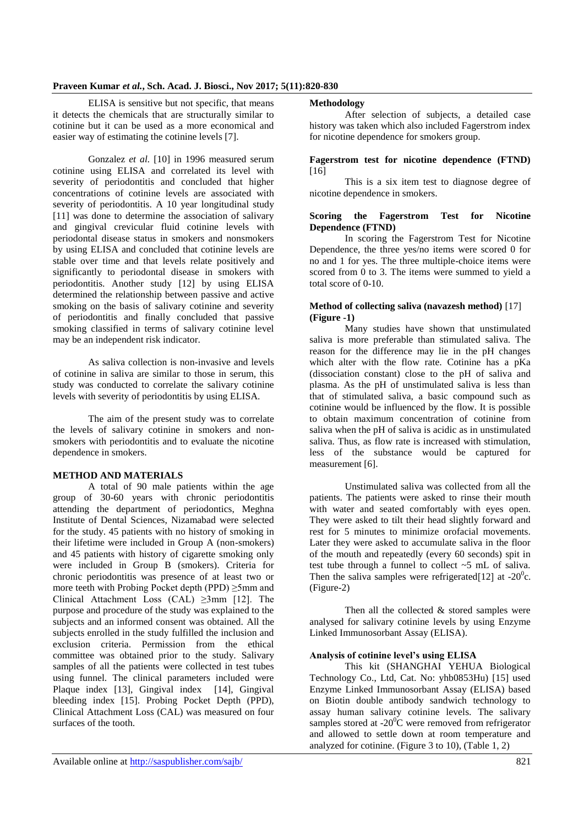ELISA is sensitive but not specific, that means it detects the chemicals that are structurally similar to cotinine but it can be used as a more economical and easier way of estimating the cotinine levels [7].

Gonzalez *et al.* [10] in 1996 measured serum cotinine using ELISA and correlated its level with severity of periodontitis and concluded that higher concentrations of cotinine levels are associated with severity of periodontitis. A 10 year longitudinal study [11] was done to determine the association of salivary and gingival crevicular fluid cotinine levels with periodontal disease status in smokers and nonsmokers by using ELISA and concluded that cotinine levels are stable over time and that levels relate positively and significantly to periodontal disease in smokers with periodontitis. Another study [12] by using ELISA determined the relationship between passive and active smoking on the basis of salivary cotinine and severity of periodontitis and finally concluded that passive smoking classified in terms of salivary cotinine level may be an independent risk indicator.

As saliva collection is non-invasive and levels of cotinine in saliva are similar to those in serum, this study was conducted to correlate the salivary cotinine levels with severity of periodontitis by using ELISA.

The aim of the present study was to correlate the levels of salivary cotinine in smokers and nonsmokers with periodontitis and to evaluate the nicotine dependence in smokers.

### **METHOD AND MATERIALS**

A total of 90 male patients within the age group of 30-60 years with chronic periodontitis attending the department of periodontics, Meghna Institute of Dental Sciences, Nizamabad were selected for the study. 45 patients with no history of smoking in their lifetime were included in Group A (non-smokers) and 45 patients with history of cigarette smoking only were included in Group B (smokers). Criteria for chronic periodontitis was presence of at least two or more teeth with Probing Pocket depth (PPD) ≥5mm and Clinical Attachment Loss (CAL) ≥3mm [12]. The purpose and procedure of the study was explained to the subjects and an informed consent was obtained. All the subjects enrolled in the study fulfilled the inclusion and exclusion criteria. Permission from the ethical committee was obtained prior to the study. Salivary samples of all the patients were collected in test tubes using funnel. The clinical parameters included were Plaque index [13], Gingival index [14], Gingival bleeding index [15]. Probing Pocket Depth (PPD), Clinical Attachment Loss (CAL) was measured on four surfaces of the tooth.

## **Methodology**

After selection of subjects, a detailed case history was taken which also included Fagerstrom index for nicotine dependence for smokers group.

#### **Fagerstrom test for nicotine dependence (FTND)**   $[16]$

This is a six item test to diagnose degree of nicotine dependence in smokers.

#### **Scoring the Fagerstrom Test for Nicotine Dependence (FTND)**

In scoring the Fagerstrom Test for Nicotine Dependence, the three yes/no items were scored 0 for no and 1 for yes. The three multiple-choice items were scored from 0 to 3. The items were summed to yield a total score of 0-10.

## **Method of collecting saliva (navazesh method)** [17] **(Figure -1)**

Many studies have shown that unstimulated saliva is more preferable than stimulated saliva. The reason for the difference may lie in the pH changes which alter with the flow rate. Cotinine has a pKa (dissociation constant) close to the pH of saliva and plasma. As the pH of unstimulated saliva is less than that of stimulated saliva, a basic compound such as cotinine would be influenced by the flow. It is possible to obtain maximum concentration of cotinine from saliva when the pH of saliva is acidic as in unstimulated saliva. Thus, as flow rate is increased with stimulation, less of the substance would be captured for measurement [6].

Unstimulated saliva was collected from all the patients. The patients were asked to rinse their mouth with water and seated comfortably with eyes open. They were asked to tilt their head slightly forward and rest for 5 minutes to minimize orofacial movements. Later they were asked to accumulate saliva in the floor of the mouth and repeatedly (every 60 seconds) spit in test tube through a funnel to collect ~5 mL of saliva. Then the saliva samples were refrigerated [12] at -20<sup>0</sup>c. (Figure-2)

Then all the collected & stored samples were analysed for salivary cotinine levels by using Enzyme Linked Immunosorbant Assay (ELISA).

# **Analysis of cotinine level's using ELISA**

This kit (SHANGHAI YEHUA Biological Technology Co., Ltd, Cat. No: yhb0853Hu) [15] used Enzyme Linked Immunosorbant Assay (ELISA) based on Biotin double antibody sandwich technology to assay human salivary cotinine levels. The salivary samples stored at  $-20^{\circ}$ C were removed from refrigerator and allowed to settle down at room temperature and analyzed for cotinine. (Figure 3 to 10), (Table 1, 2)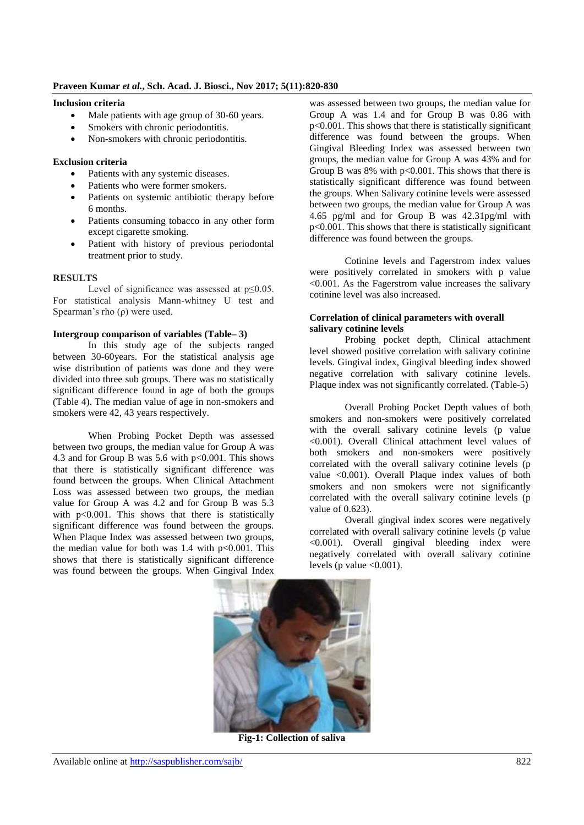# **Inclusion criteria**

- Male patients with age group of 30-60 years.
- Smokers with chronic periodontitis.
- Non-smokers with chronic periodontitis.

# **Exclusion criteria**

- Patients with any systemic diseases.
- Patients who were former smokers.
- Patients on systemic antibiotic therapy before 6 months.
- Patients consuming tobacco in any other form except cigarette smoking.
- Patient with history of previous periodontal treatment prior to study.

# **RESULTS**

Level of significance was assessed at p≤0.05. For statistical analysis Mann-whitney U test and Spearman's rho (ρ) were used.

# **Intergroup comparison of variables (Table– 3)**

In this study age of the subjects ranged between 30-60years. For the statistical analysis age wise distribution of patients was done and they were divided into three sub groups. There was no statistically significant difference found in age of both the groups (Table 4). The median value of age in non-smokers and smokers were 42, 43 years respectively.

When Probing Pocket Depth was assessed between two groups, the median value for Group A was 4.3 and for Group B was 5.6 with  $p<0.001$ . This shows that there is statistically significant difference was found between the groups. When Clinical Attachment Loss was assessed between two groups, the median value for Group A was 4.2 and for Group B was 5.3 with p<0.001. This shows that there is statistically significant difference was found between the groups. When Plaque Index was assessed between two groups, the median value for both was 1.4 with  $p<0.001$ . This shows that there is statistically significant difference was found between the groups. When Gingival Index

was assessed between two groups, the median value for Group A was 1.4 and for Group B was 0.86 with p<0.001. This shows that there is statistically significant difference was found between the groups. When Gingival Bleeding Index was assessed between two groups, the median value for Group A was 43% and for Group B was  $8\%$  with  $p<0.001$ . This shows that there is statistically significant difference was found between the groups. When Salivary cotinine levels were assessed between two groups, the median value for Group A was 4.65 pg/ml and for Group B was 42.31pg/ml with p<0.001. This shows that there is statistically significant difference was found between the groups.

Cotinine levels and Fagerstrom index values were positively correlated in smokers with p value <0.001. As the Fagerstrom value increases the salivary cotinine level was also increased.

### **Correlation of clinical parameters with overall salivary cotinine levels**

Probing pocket depth, Clinical attachment level showed positive correlation with salivary cotinine levels. Gingival index, Gingival bleeding index showed negative correlation with salivary cotinine levels. Plaque index was not significantly correlated. (Table-5)

Overall Probing Pocket Depth values of both smokers and non-smokers were positively correlated with the overall salivary cotinine levels (p value <0.001). Overall Clinical attachment level values of both smokers and non-smokers were positively correlated with the overall salivary cotinine levels (p value <0.001). Overall Plaque index values of both smokers and non smokers were not significantly correlated with the overall salivary cotinine levels (p value of 0.623).

Overall gingival index scores were negatively correlated with overall salivary cotinine levels (p value <0.001). Overall gingival bleeding index were negatively correlated with overall salivary cotinine levels (p value  $\leq 0.001$ ).



**Fig-1: Collection of saliva**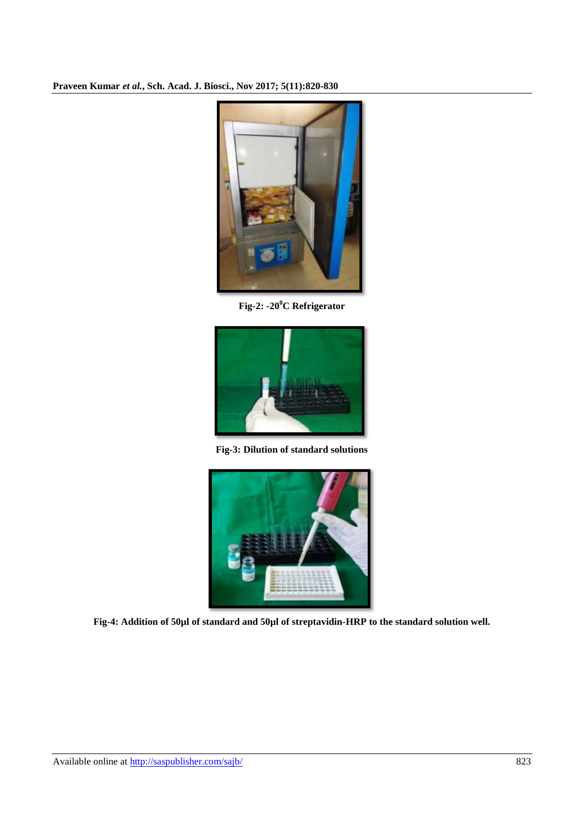

**Fig-2: -20<sup>0</sup>C Refrigerator**



**Fig-3: Dilution of standard solutions**



**Fig-4: Addition of 50µl of standard and 50µl of streptavidin-HRP to the standard solution well.**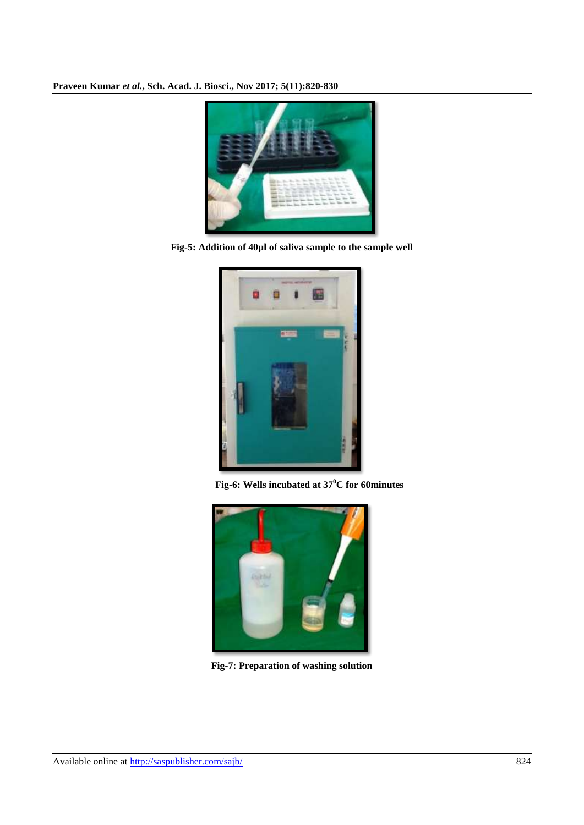

**Fig-5: Addition of 40µl of saliva sample to the sample well**



**Fig-6: Wells incubated at 37<sup>0</sup>C for 60minutes**



**Fig-7: Preparation of washing solution**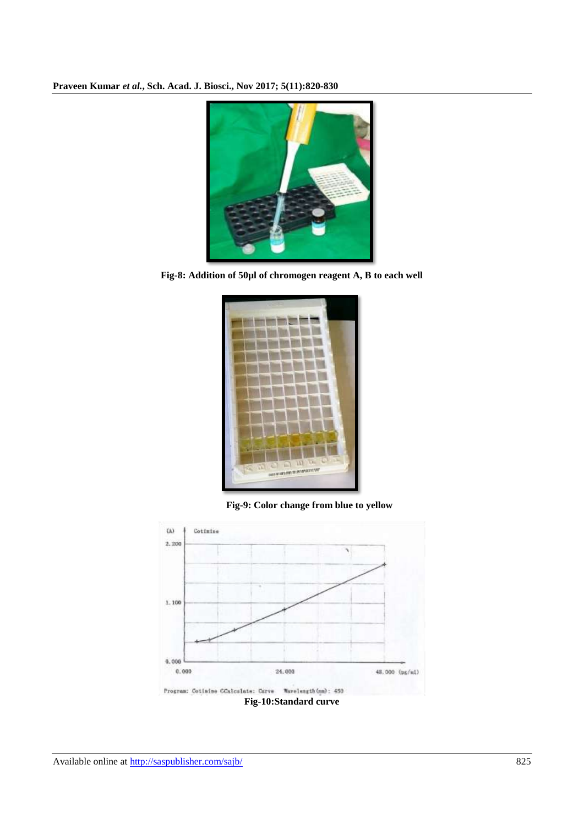

**Fig-8: Addition of 50µl of chromogen reagent A, B to each well**



**Fig-9: Color change from blue to yellow**

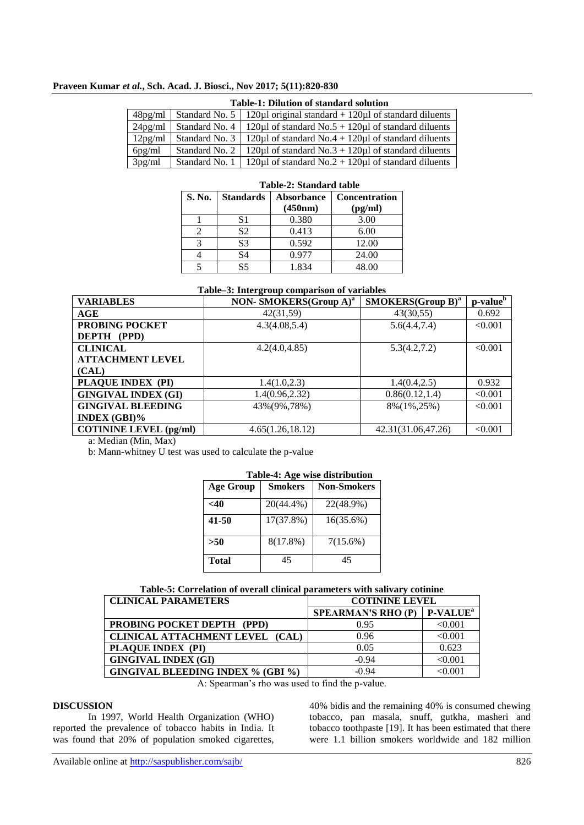| <b>Table-1: Dilution of standard solution</b> |  |                                                                                          |  |
|-----------------------------------------------|--|------------------------------------------------------------------------------------------|--|
|                                               |  | $48\text{pg/ml}$   Standard No. 5   120µl original standard + 120µl of standard diluents |  |
|                                               |  | $24\text{pg/ml}$   Standard No. 4   120µl of standard No.5 + 120µl of standard diluents  |  |
|                                               |  | 12pg/ml   Standard No. 3   120µl of standard No.4 + 120µl of standard diluents           |  |

6pg/ml Standard No. 2 | 120µl of standard No.  $3 + 120\mu$ l of standard diluents

| 3pg/ml |        |                  | Standard No. 1   120 $\mu$ l of standard No. 2 + 120 $\mu$ l of standard diluents |                                 |  |
|--------|--------|------------------|-----------------------------------------------------------------------------------|---------------------------------|--|
|        |        |                  | Table-2: Standard table                                                           |                                 |  |
|        | S. No. | <b>Standards</b> | Absorbance<br>(450nm)                                                             | <b>Concentration</b><br>(pg/ml) |  |
|        |        | S1               | 0.380                                                                             | 3.00                            |  |
|        |        | S <sub>2</sub>   | 0.413                                                                             | 6.00                            |  |
|        | 3      | S3               | 0.592                                                                             | 12.00                           |  |
|        |        | S4               | 0.977                                                                             | 24.00                           |  |

#### **Table–3: Intergroup comparison of variables**

5 S5 1.834 48.00

| <b>VARIABLES</b>              | NON- SMOKERS(Group A) <sup>a</sup> | $SMOKERS(Group B)^{a}$ | p-value <sup>b</sup> |
|-------------------------------|------------------------------------|------------------------|----------------------|
| AGE                           | 42(31,59)                          | 43(30,55)              | 0.692                |
| <b>PROBING POCKET</b>         | 4.3(4.08, 5.4)                     | 5.6(4.4, 7.4)          | < 0.001              |
| <b>DEPTH</b> (PPD)            |                                    |                        |                      |
| <b>CLINICAL</b>               | 4.2(4.0, 4.85)                     | 5.3(4.2, 7.2)          | < 0.001              |
| <b>ATTACHMENT LEVEL</b>       |                                    |                        |                      |
| (CAL)                         |                                    |                        |                      |
| PLAQUE INDEX (PI)             | 1.4(1.0, 2.3)                      | 1.4(0.4, 2.5)          | 0.932                |
| <b>GINGIVAL INDEX (GI)</b>    | 1.4(0.96, 2.32)                    | 0.86(0.12, 1.4)        | < 0.001              |
| <b>GINGIVAL BLEEDING</b>      | 43%(9%,78%)                        | 8%(1%,25%)             | < 0.001              |
| INDEX $(GBI)\%$               |                                    |                        |                      |
| <b>COTININE LEVEL (pg/ml)</b> | 4.65(1.26, 18.12)                  | 42.31(31.06,47.26)     | < 0.001              |

a: Median (Min, Max)

b: Mann-whitney U test was used to calculate the p-value

| Table-4: Age wise distribution |                |                    |  |
|--------------------------------|----------------|--------------------|--|
| <b>Age Group</b>               | <b>Smokers</b> | <b>Non-Smokers</b> |  |
| -40                            | 20(44.4%)      | 22(48.9%)          |  |
| 41-50                          | 17(37.8%)      | 16(35.6%)          |  |
| >50                            | 8(17.8%)       | 7(15.6%)           |  |
| Total                          | 45             | 45                 |  |

# **Table-5: Correlation of overall clinical parameters with salivary cotinine**

| <b>CLINICAL PARAMETERS</b>               | <b>COTININE LEVEL</b>     |                             |
|------------------------------------------|---------------------------|-----------------------------|
|                                          | <b>SPEARMAN'S RHO (P)</b> | <b>P-VALUE</b> <sup>a</sup> |
| <b>PROBING POCKET DEPTH (PPD)</b>        | 0.95                      | < 0.001                     |
| CLINICAL ATTACHMENT LEVEL (CAL)          | 0.96                      | < 0.001                     |
| PLAQUE INDEX (PI)                        | 0.05                      | 0.623                       |
| <b>GINGIVAL INDEX (GI)</b>               | $-0.94$                   | < 0.001                     |
| <b>GINGIVAL BLEEDING INDEX % (GBI %)</b> | $-0.94$                   | < 0.001                     |

A: Spearman's rho was used to find the p-value.

#### **DISCUSSION**

In 1997, World Health Organization (WHO) reported the prevalence of tobacco habits in India. It was found that 20% of population smoked cigarettes,

40% bidis and the remaining 40% is consumed chewing tobacco, pan masala, snuff, gutkha, masheri and tobacco toothpaste [19]. It has been estimated that there were 1.1 billion smokers worldwide and 182 million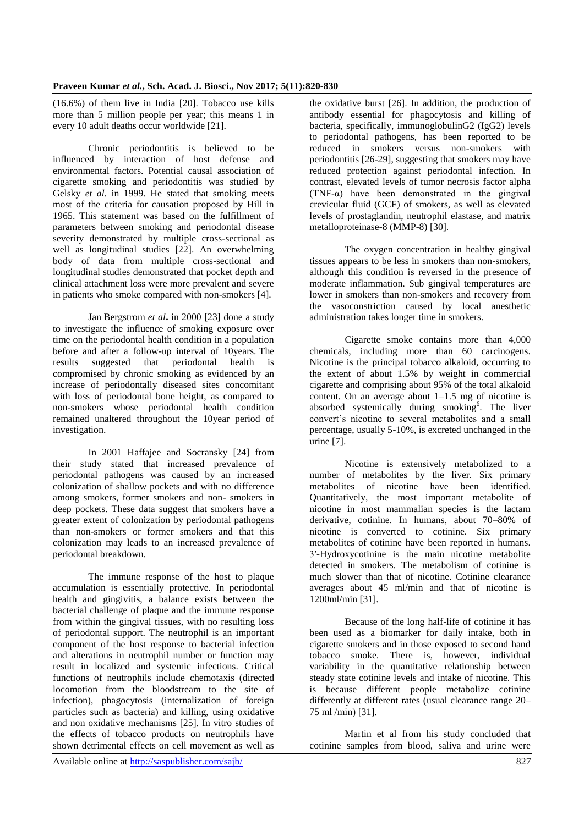(16.6%) of them live in India [20]. Tobacco use kills more than 5 million people per year; this means 1 in every 10 adult deaths occur worldwide [21].

Chronic periodontitis is believed to be influenced by interaction of host defense and environmental factors. Potential causal association of cigarette smoking and periodontitis was studied by Gelsky *et al.* in 1999. He stated that smoking meets most of the criteria for causation proposed by Hill in 1965. This statement was based on the fulfillment of parameters between smoking and periodontal disease severity demonstrated by multiple cross-sectional as well as longitudinal studies [22]. An overwhelming body of data from multiple cross-sectional and longitudinal studies demonstrated that pocket depth and clinical attachment loss were more prevalent and severe in patients who smoke compared with non-smokers [4].

Jan Bergstrom *et al***.** in 2000 [23] done a study to investigate the influence of smoking exposure over time on the periodontal health condition in a population before and after a follow-up interval of 10years. The results suggested that periodontal health is compromised by chronic smoking as evidenced by an increase of periodontally diseased sites concomitant with loss of periodontal bone height, as compared to non-smokers whose periodontal health condition remained unaltered throughout the 10year period of investigation.

In 2001 Haffajee and Socransky [24] from their study stated that increased prevalence of periodontal pathogens was caused by an increased colonization of shallow pockets and with no difference among smokers, former smokers and non- smokers in deep pockets. These data suggest that smokers have a greater extent of colonization by periodontal pathogens than non-smokers or former smokers and that this colonization may leads to an increased prevalence of periodontal breakdown.

The immune response of the host to plaque accumulation is essentially protective. In periodontal health and gingivitis, a balance exists between the bacterial challenge of plaque and the immune response from within the gingival tissues, with no resulting loss of periodontal support. The neutrophil is an important component of the host response to bacterial infection and alterations in neutrophil number or function may result in localized and systemic infections. Critical functions of neutrophils include chemotaxis (directed locomotion from the bloodstream to the site of infection), phagocytosis (internalization of foreign particles such as bacteria) and killing, using oxidative and non oxidative mechanisms [25]. In vitro studies of the effects of tobacco products on neutrophils have shown detrimental effects on cell movement as well as the oxidative burst [26]. In addition, the production of antibody essential for phagocytosis and killing of bacteria, specifically, immunoglobulinG2 (IgG2) levels to periodontal pathogens, has been reported to be reduced in smokers versus non-smokers with periodontitis [26-29], suggesting that smokers may have reduced protection against periodontal infection. In contrast, elevated levels of tumor necrosis factor alpha (TNF- $\alpha$ ) have been demonstrated in the gingival crevicular fluid (GCF) of smokers, as well as elevated levels of prostaglandin, neutrophil elastase, and matrix metalloproteinase-8 (MMP-8) [30].

The oxygen concentration in healthy gingival tissues appears to be less in smokers than non-smokers, although this condition is reversed in the presence of moderate inflammation. Sub gingival temperatures are lower in smokers than non-smokers and recovery from the vasoconstriction caused by local anesthetic administration takes longer time in smokers.

Cigarette smoke contains more than 4,000 chemicals, including more than 60 carcinogens. Nicotine is the principal tobacco alkaloid, occurring to the extent of about 1.5% by weight in commercial cigarette and comprising about 95% of the total alkaloid content. On an average about  $1-1.5$  mg of nicotine is absorbed systemically during smoking<sup>6</sup>. The liver convert's nicotine to several metabolites and a small percentage, usually 5-10%, is excreted unchanged in the urine [7].

Nicotine is extensively metabolized to a number of metabolites by the liver. Six primary metabolites of nicotine have been identified. Quantitatively, the most important metabolite of nicotine in most mammalian species is the lactam derivative, cotinine. In humans, about 70–80% of nicotine is converted to cotinine. Six primary metabolites of cotinine have been reported in humans. 3′-Hydroxycotinine is the main nicotine metabolite detected in smokers. The metabolism of cotinine is much slower than that of nicotine. Cotinine clearance averages about 45 ml/min and that of nicotine is 1200ml/min [31].

Because of the long half-life of cotinine it has been used as a biomarker for daily intake, both in cigarette smokers and in those exposed to second hand tobacco smoke. There is, however, individual variability in the quantitative relationship between steady state cotinine levels and intake of nicotine. This is because different people metabolize cotinine differently at different rates (usual clearance range 20– 75 ml /min) [31].

Martin et al from his study concluded that cotinine samples from blood, saliva and urine were

Available online at<http://saspublisher.com/sajb/> 827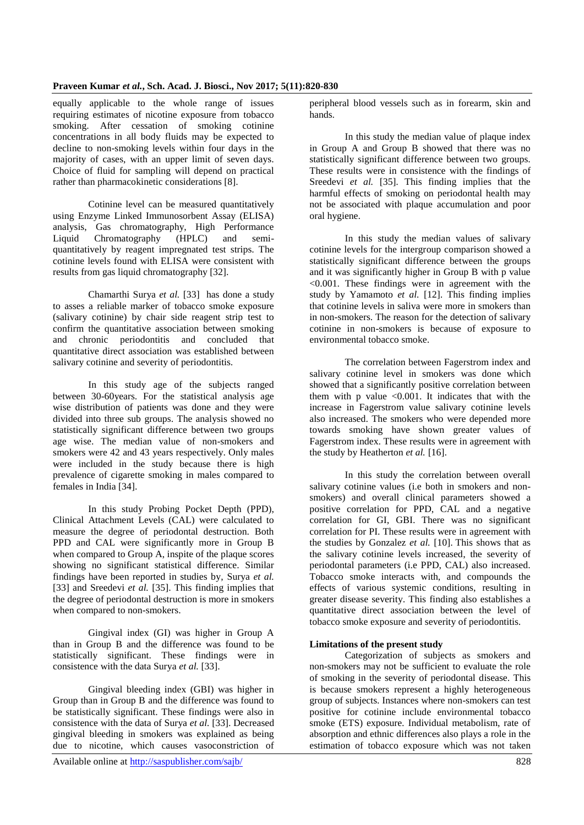equally applicable to the whole range of issues requiring estimates of nicotine exposure from tobacco smoking. After cessation of smoking cotinine concentrations in all body fluids may be expected to decline to non-smoking levels within four days in the majority of cases, with an upper limit of seven days. Choice of fluid for sampling will depend on practical rather than pharmacokinetic considerations [8].

Cotinine level can be measured quantitatively using Enzyme Linked Immunosorbent Assay (ELISA) analysis, Gas chromatography, High Performance Liquid Chromatography (HPLC) and semiquantitatively by reagent impregnated test strips. The cotinine levels found with ELISA were consistent with results from gas liquid chromatography [32].

Chamarthi Surya *et al.* [33] has done a study to asses a reliable marker of tobacco smoke exposure (salivary cotinine) by chair side reagent strip test to confirm the quantitative association between smoking and chronic periodontitis and concluded that quantitative direct association was established between salivary cotinine and severity of periodontitis.

In this study age of the subjects ranged between 30-60years. For the statistical analysis age wise distribution of patients was done and they were divided into three sub groups. The analysis showed no statistically significant difference between two groups age wise. The median value of non-smokers and smokers were 42 and 43 years respectively. Only males were included in the study because there is high prevalence of cigarette smoking in males compared to females in India [34].

In this study Probing Pocket Depth (PPD), Clinical Attachment Levels (CAL) were calculated to measure the degree of periodontal destruction. Both PPD and CAL were significantly more in Group B when compared to Group A, inspite of the plaque scores showing no significant statistical difference. Similar findings have been reported in studies by, Surya *et al.* [33] and Sreedevi *et al.* [35]. This finding implies that the degree of periodontal destruction is more in smokers when compared to non-smokers.

Gingival index (GI) was higher in Group A than in Group B and the difference was found to be statistically significant. These findings were in consistence with the data Surya *et al.* [33].

Gingival bleeding index (GBI) was higher in Group than in Group B and the difference was found to be statistically significant. These findings were also in consistence with the data of Surya *et al.* [33]. Decreased gingival bleeding in smokers was explained as being due to nicotine, which causes vasoconstriction of

peripheral blood vessels such as in forearm, skin and hands.

In this study the median value of plaque index in Group A and Group B showed that there was no statistically significant difference between two groups. These results were in consistence with the findings of Sreedevi *et al.* [35]. This finding implies that the harmful effects of smoking on periodontal health may not be associated with plaque accumulation and poor oral hygiene.

In this study the median values of salivary cotinine levels for the intergroup comparison showed a statistically significant difference between the groups and it was significantly higher in Group B with p value <0.001. These findings were in agreement with the study by Yamamoto *et al.* [12]. This finding implies that cotinine levels in saliva were more in smokers than in non-smokers. The reason for the detection of salivary cotinine in non-smokers is because of exposure to environmental tobacco smoke.

The correlation between Fagerstrom index and salivary cotinine level in smokers was done which showed that a significantly positive correlation between them with  $p$  value <0.001. It indicates that with the increase in Fagerstrom value salivary cotinine levels also increased. The smokers who were depended more towards smoking have shown greater values of Fagerstrom index. These results were in agreement with the study by Heatherton *et al.* [16].

In this study the correlation between overall salivary cotinine values (i.e both in smokers and nonsmokers) and overall clinical parameters showed a positive correlation for PPD, CAL and a negative correlation for GI, GBI. There was no significant correlation for PI. These results were in agreement with the studies by Gonzalez *et al.* [10]. This shows that as the salivary cotinine levels increased, the severity of periodontal parameters (i.e PPD, CAL) also increased. Tobacco smoke interacts with, and compounds the effects of various systemic conditions, resulting in greater disease severity. This finding also establishes a quantitative direct association between the level of tobacco smoke exposure and severity of periodontitis.

# **Limitations of the present study**

Categorization of subjects as smokers and non-smokers may not be sufficient to evaluate the role of smoking in the severity of periodontal disease. This is because smokers represent a highly heterogeneous group of subjects. Instances where non-smokers can test positive for cotinine include environmental tobacco smoke (ETS) exposure. Individual metabolism, rate of absorption and ethnic differences also plays a role in the estimation of tobacco exposure which was not taken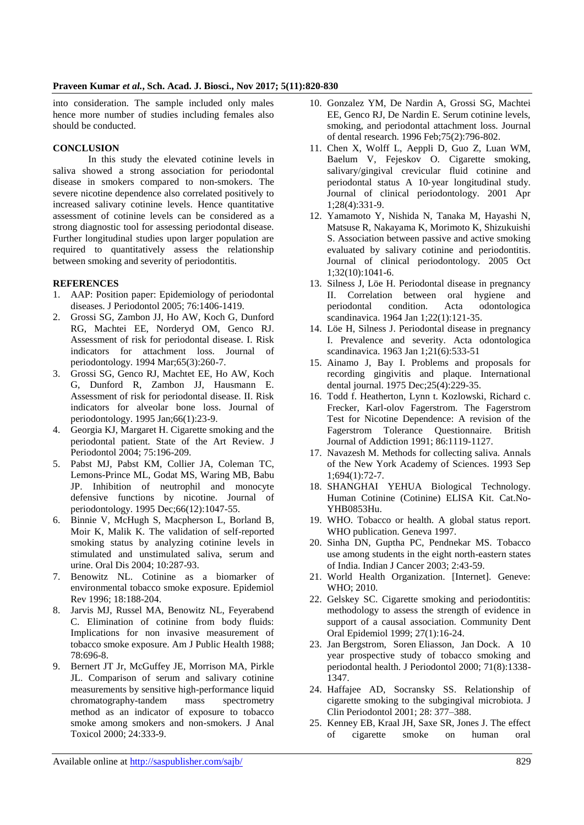into consideration. The sample included only males hence more number of studies including females also should be conducted.

# **CONCLUSION**

In this study the elevated cotinine levels in saliva showed a strong association for periodontal disease in smokers compared to non-smokers. The severe nicotine dependence also correlated positively to increased salivary cotinine levels. Hence quantitative assessment of cotinine levels can be considered as a strong diagnostic tool for assessing periodontal disease. Further longitudinal studies upon larger population are required to quantitatively assess the relationship between smoking and severity of periodontitis.

# **REFERENCES**

- 1. AAP: Position paper: Epidemiology of periodontal diseases. J Periodontol 2005; 76:1406-1419.
- 2. Grossi SG, Zambon JJ, Ho AW, Koch G, Dunford RG, Machtei EE, Norderyd OM, Genco RJ. Assessment of risk for periodontal disease. I. Risk indicators for attachment loss. Journal of periodontology. 1994 Mar;65(3):260-7.
- 3. Grossi SG, Genco RJ, Machtet EE, Ho AW, Koch G, Dunford R, Zambon JJ, Hausmann E. Assessment of risk for periodontal disease. II. Risk indicators for alveolar bone loss. Journal of periodontology. 1995 Jan;66(1):23-9.
- 4. Georgia KJ, Margaret H. Cigarette smoking and the periodontal patient. State of the Art Review. J Periodontol 2004; 75:196-209.
- 5. Pabst MJ, Pabst KM, Collier JA, Coleman TC, Lemons-Prince ML, Godat MS, Waring MB, Babu JP. Inhibition of neutrophil and monocyte defensive functions by nicotine. Journal of periodontology. 1995 Dec;66(12):1047-55.
- 6. Binnie V, McHugh S, Macpherson L, Borland B, Moir K, Malik K. The validation of self-reported smoking status by analyzing cotinine levels in stimulated and unstimulated saliva, serum and urine. Oral Dis 2004; 10:287-93.
- 7. Benowitz NL. Cotinine as a biomarker of environmental tobacco smoke exposure. Epidemiol Rev 1996; 18:188-204.
- 8. Jarvis MJ, Russel MA, Benowitz NL, Feyerabend C. Elimination of cotinine from body fluids: Implications for non invasive measurement of tobacco smoke exposure. Am J Public Health 1988; 78:696-8.
- 9. Bernert JT Jr, McGuffey JE, Morrison MA, Pirkle JL. Comparison of serum and salivary cotinine measurements by sensitive high-performance liquid chromatography-tandem mass spectrometry method as an indicator of exposure to tobacco smoke among smokers and non-smokers. J Anal Toxicol 2000; 24:333-9.
- 10. Gonzalez YM, De Nardin A, Grossi SG, Machtei EE, Genco RJ, De Nardin E. Serum cotinine levels, smoking, and periodontal attachment loss. Journal of dental research. 1996 Feb;75(2):796-802.
- 11. Chen X, Wolff L, Aeppli D, Guo Z, Luan WM, Baelum V, Fejeskov O. Cigarette smoking, salivary/gingival crevicular fluid cotinine and periodontal status A 10‐year longitudinal study. Journal of clinical periodontology. 2001 Apr 1;28(4):331-9.
- 12. Yamamoto Y, Nishida N, Tanaka M, Hayashi N, Matsuse R, Nakayama K, Morimoto K, Shizukuishi S. Association between passive and active smoking evaluated by salivary cotinine and periodontitis. Journal of clinical periodontology. 2005 Oct 1;32(10):1041-6.
- 13. Silness J, Löe H. Periodontal disease in pregnancy II. Correlation between oral hygiene and periodontal condition. Acta odontologica scandinavica. 1964 Jan 1;22(1):121-35.
- 14. Löe H, Silness J. Periodontal disease in pregnancy I. Prevalence and severity. Acta odontologica scandinavica. 1963 Jan 1;21(6):533-51
- 15. Ainamo J, Bay I. Problems and proposals for recording gingivitis and plaque. International dental journal. 1975 Dec;25(4):229-35.
- 16. Todd f. Heatherton, Lynn t. Kozlowski, Richard c. Frecker, Karl-olov Fagerstrom. The Fagerstrom Test for Nicotine Dependence: A revision of the Fagerstrom Tolerance Questionnaire. British Journal of Addiction 1991; 86:1119-1127.
- 17. Navazesh M. Methods for collecting saliva. Annals of the New York Academy of Sciences. 1993 Sep 1;694(1):72-7.
- 18. SHANGHAI YEHUA Biological Technology. Human Cotinine (Cotinine) ELISA Kit. Cat.No-YHB0853Hu.
- 19. WHO. Tobacco or health. A global status report. WHO publication. Geneva 1997.
- 20. Sinha DN, Guptha PC, Pendnekar MS. Tobacco use among students in the eight north-eastern states of India. Indian J Cancer 2003; 2:43-59.
- 21. World Health Organization. [Internet]. Geneve: WHO; 2010.
- 22. Gelskey SC. Cigarette smoking and periodontitis: methodology to assess the strength of evidence in support of a causal association. Community Dent Oral Epidemiol 1999; 27(1):16-24.
- 23. Jan Bergstrom, Soren Eliasson, Jan Dock. A 10 year prospective study of tobacco smoking and periodontal health. J Periodontol 2000; 71(8):1338- 1347.
- 24. Haffajee AD, Socransky SS. Relationship of cigarette smoking to the subgingival microbiota. J Clin Periodontol 2001; 28: 377–388.
- 25. Kenney EB, Kraal JH, Saxe SR, Jones J. The effect of cigarette smoke on human oral

Available online at<http://saspublisher.com/sajb/> 829